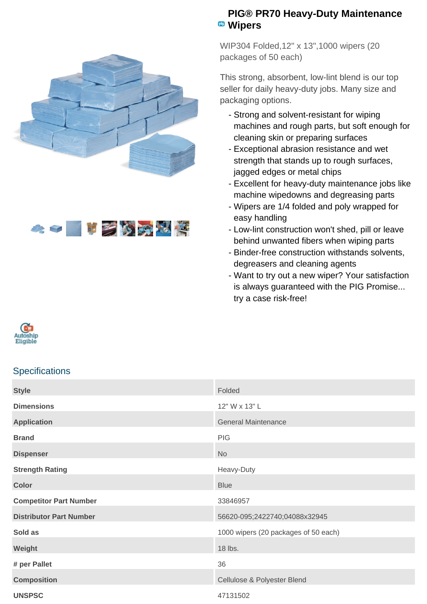



## **PIG® PR70 Heavy-Duty Maintenance Wipers**

WIP304 Folded,12" x 13",1000 wipers (20 packages of 50 each)

This strong, absorbent, low-lint blend is our top seller for daily heavy-duty jobs. Many size and packaging options.

- Strong and solvent-resistant for wiping machines and rough parts, but soft enough for cleaning skin or preparing surfaces
- Exceptional abrasion resistance and wet strength that stands up to rough surfaces, jagged edges or metal chips
- Excellent for heavy-duty maintenance jobs like machine wipedowns and degreasing parts
- Wipers are 1/4 folded and poly wrapped for easy handling
- Low-lint construction won't shed, pill or leave behind unwanted fibers when wiping parts
- Binder-free construction withstands solvents, degreasers and cleaning agents
- Want to try out a new wiper? Your satisfaction is always guaranteed with the PIG Promise... try a case risk-free!



## **Specifications**

| <b>Style</b>                   | Folded                               |  |
|--------------------------------|--------------------------------------|--|
| <b>Dimensions</b>              | 12" W x 13" L                        |  |
| <b>Application</b>             | <b>General Maintenance</b>           |  |
| <b>Brand</b>                   | <b>PIG</b>                           |  |
| <b>Dispenser</b>               | <b>No</b>                            |  |
| <b>Strength Rating</b>         | Heavy-Duty                           |  |
| <b>Color</b>                   | <b>Blue</b>                          |  |
| <b>Competitor Part Number</b>  | 33846957                             |  |
| <b>Distributor Part Number</b> | 56620-095;2422740;04088x32945        |  |
| Sold as                        | 1000 wipers (20 packages of 50 each) |  |
| Weight                         | 18 lbs.                              |  |
| # per Pallet                   | 36                                   |  |
| <b>Composition</b>             | Cellulose & Polyester Blend          |  |
| <b>UNSPSC</b>                  | 47131502                             |  |